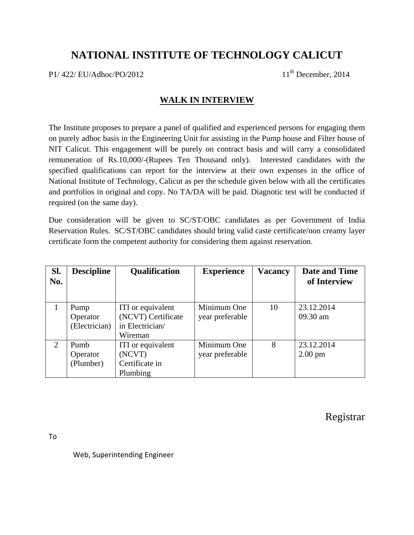## **NATIONAL INSTITUTE OF TECHNOLOGY CALICUT**

 $P1/422/EU/Adhoc/PO/2012$  11<sup>th</sup> December, 2014

## **WALK IN INTERVIEW**

The Institute proposes to prepare a panel of qualified and experienced persons for engaging them on purely adhoc basis in the Engineering Unit for assisting in the Pump house and Filter house of NIT Calicut. This engagement will be purely on contract basis and will carry a consolidated remuneration of Rs.10,000/-(Rupees Ten Thousand only). Interested candidates with the specified qualifications can report for the interview at their own expenses in the office of National Institute of Technology, Calicut as per the schedule given below with all the certificates and portfolios in original and copy. No TA/DA will be paid. Diagnotic test will be conducted if required (on the same day).

Due consideration will be given to SC/ST/OBC candidates as per Government of India Reservation Rules. SC/ST/OBC candidates should bring valid caste certificate/non creamy layer certificate form the competent authority for considering them against reservation.

| Sl.<br>No. | <b>Descipline</b> | <b>Qualification</b> | <b>Experience</b> | <b>Vacancy</b> | <b>Date and Time</b><br>of Interview |
|------------|-------------------|----------------------|-------------------|----------------|--------------------------------------|
|            |                   |                      |                   |                |                                      |
|            | Pump              | ITI or equivalent    | Minimum One       | 10             | 23.12.2014                           |
|            | Operator          | (NCVT) Certificate   | year preferable   |                | 09.30 am                             |
|            | (Electrician)     | in Electrician/      |                   |                |                                      |
|            |                   | Wireman              |                   |                |                                      |
| 2          | Pumb              | ITI or equivalent    | Minimum One       | 8              | 23.12.2014                           |
|            | Operator          | (NCVT)               | year preferable   |                | $2.00 \text{ pm}$                    |
|            | (Plumber)         | Certificate in       |                   |                |                                      |
|            |                   | Plumbing             |                   |                |                                      |

Registrar

To

Web, Superintending Engineer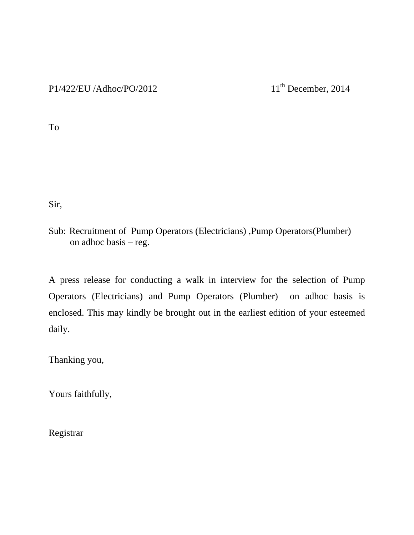To

Sir,

Sub: Recruitment of Pump Operators (Electricians) ,Pump Operators(Plumber) on adhoc basis – reg.

A press release for conducting a walk in interview for the selection of Pump Operators (Electricians) and Pump Operators (Plumber) on adhoc basis is enclosed. This may kindly be brought out in the earliest edition of your esteemed daily.

Thanking you,

Yours faithfully,

Registrar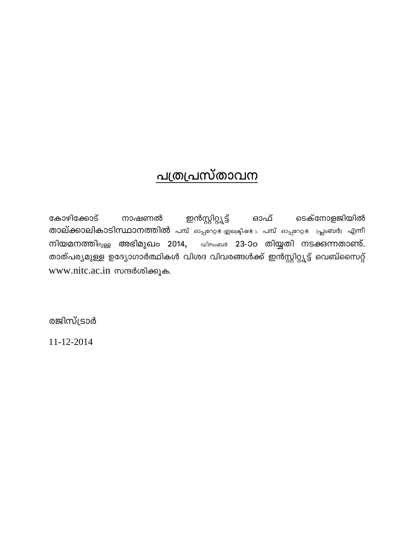## <u>പത്രപ്രസ്താവന</u>

കോഴിക്കോട് ഇൻസ്റ്റിറ്റ്യൂട്ട് ടെക്നോളജിയിൽ നാഷണൽ ഓഫ് താല്ക്കാലികാടിസ്ഥാനത്തിൽ പമ്പ് ഓപ്പറേള ഇലക്ട്രിഷളു, പമ്പ് ഓപ്പറേറ്റളേ (പ്ലംബർ) എന്നീ നിയമനത്തി<sub>യുള്ള</sub> അഭിമുഖം 2014, **പിസംബർ 23-**0o തിയ്യതി നടക്കുന്നതാണ്. താത്പര്യമുള്ള ഉദ്യോഗാർത്ഥികൾ വിശദ വിവരങ്ങൾക്ക് ഇൻസ്റ്റിറ്റ്യൂട്ട് വെബ്സൈറ്റ് www.nitc.ac.in സന്ദർശിക്കുക.

രജിസ്ട്രാർ

 $11 - 12 - 2014$